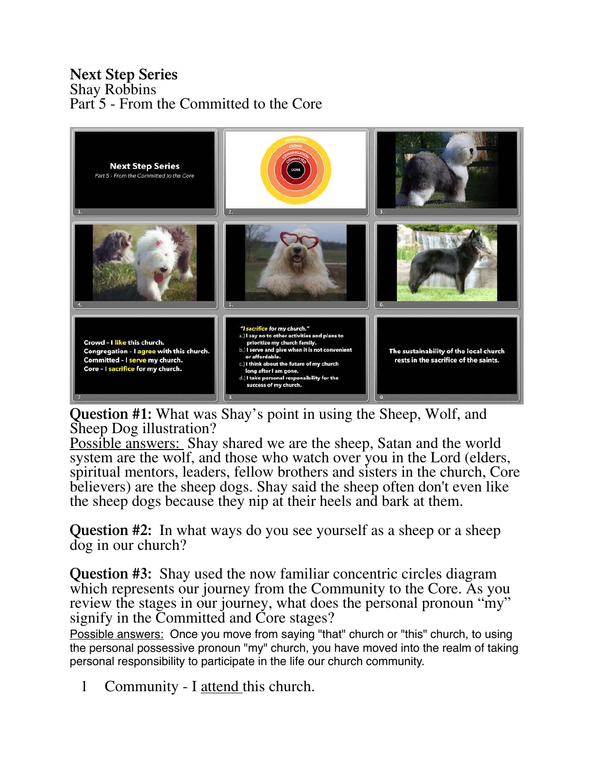## **Next Step Series** Shay Robbins Part 5 - From the Committed to the Core



**Question #1:** What was Shay's point in using the Sheep, Wolf, and Sheep Dog illustration?

Possible answers: Shay shared we are the sheep, Satan and the world system are the wolf, and those who watch over you in the Lord (elders, spiritual mentors, leaders, fellow brothers and sisters in the church, Core believers) are the sheep dogs. Shay said the sheep often don't even like the sheep dogs because they nip at their heels and bark at them.

**Question #2:** In what ways do you see yourself as a sheep or a sheep dog in our church?

**Question #3:** Shay used the now familiar concentric circles diagram which represents our journey from the Community to the Core. As you review the stages in our journey, what does the personal pronoun "my" signify in the Committed and Core stages?

Possible answers: Once you move from saying "that" church or "this" church, to using the personal possessive pronoun "my" church, you have moved into the realm of taking personal responsibility to participate in the life our church community.

1 Community - I <u>attend</u> this church.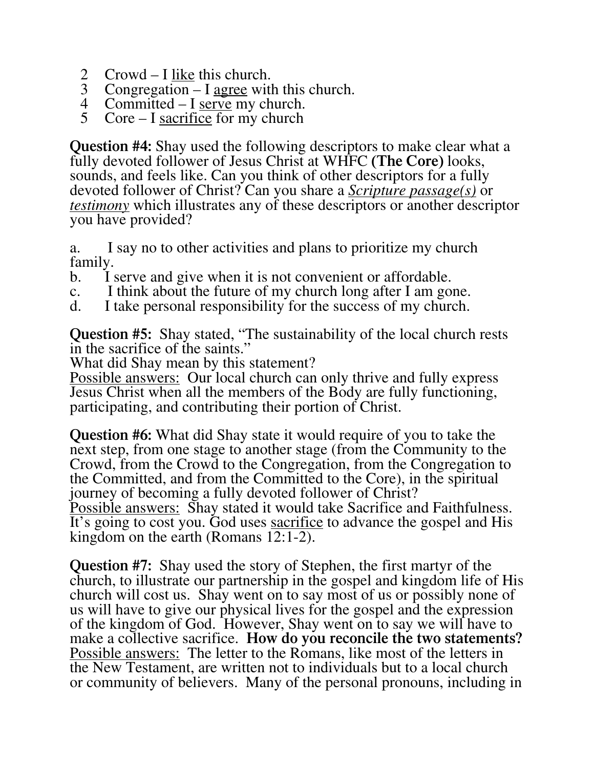- 2 Crowd I <u>like</u> this church.<br>3 Congregation I agree with
- Congregation  $I$  agree with this church.
- 4 Committed I <u>serve</u> my church.<br>5 Core I sacrifice for my church
- $Core I$  sacrifice for my church

**Question #4:** Shay used the following descriptors to make clear what a fully devoted follower of Jesus Christ at WHFC **(The Core)** looks, sounds, and feels like. Can you think of other descriptors for a fully devoted follower of Christ? Can you share a *Scripture passage(s)* or *testimony* which illustrates any of these descriptors or another descriptor you have provided?

a. I say no to other activities and plans to prioritize my church family.

- b. I serve and give when it is not convenient or affordable.
- c. I think about the future of my church long after I am gone.<br>d. I take personal responsibility for the success of my church.
- I take personal responsibility for the success of my church.

**Question #5:** Shay stated, "The sustainability of the local church rests in the sacrifice of the saints."

What did Shay mean by this statement?

Possible answers: Our local church can only thrive and fully express Jesus Christ when all the members of the Body are fully functioning, participating, and contributing their portion of Christ.

**Question #6:** What did Shay state it would require of you to take the next step, from one stage to another stage (from the Community to the Crowd, from the Crowd to the Congregation, from the Congregation to the Committed, and from the Committed to the Core), in the spiritual journey of becoming a fully devoted follower of Christ? Possible answers: Shay stated it would take Sacrifice and Faithfulness. It's going to cost you. God uses sacrifice to advance the gospel and His kingdom on the earth (Romans 12:1-2).

**Question #7:** Shay used the story of Stephen, the first martyr of the church, to illustrate our partnership in the gospel and kingdom life of His church will cost us. Shay went on to say most of us or possibly none of us will have to give our physical lives for the gospel and the expression of the kingdom of God. However, Shay went on to say we will have to make a collective sacrifice. **How do you reconcile the two statements?**  Possible answers: The letter to the Romans, like most of the letters in the New Testament, are written not to individuals but to a local church or community of believers. Many of the personal pronouns, including in